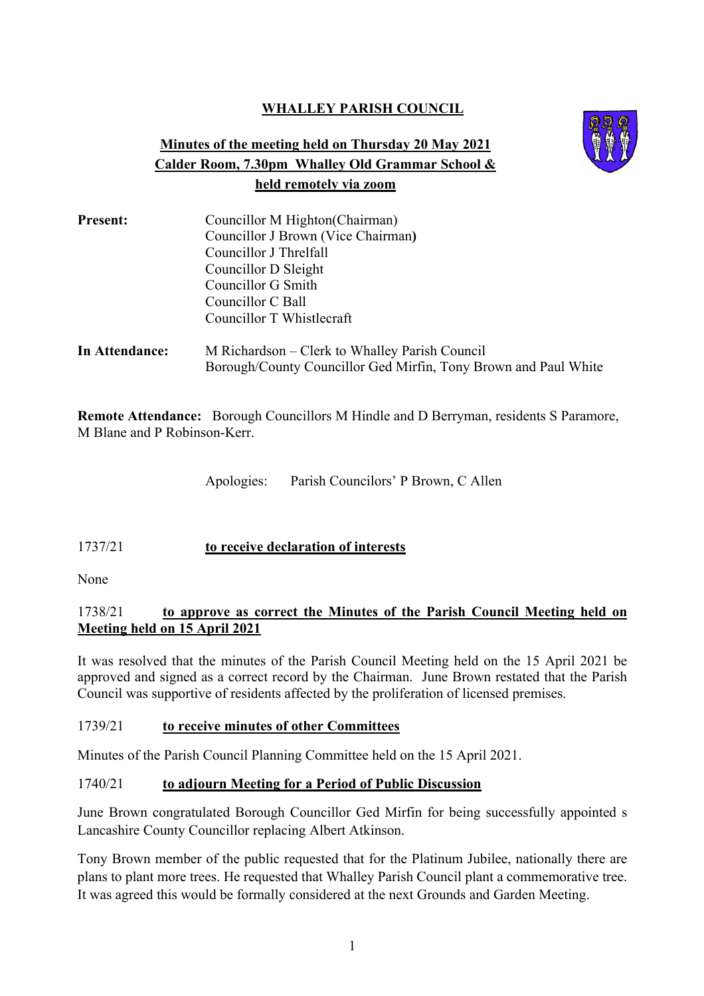# **WHALLEY PARISH COUNCIL**

# **Minutes of the meeting held on Thursday 20 May 2021 Calder Room, 7.30pm Whalley Old Grammar School & held remotely via zoom**



| <b>Present:</b> | Councillor M Highton (Chairman)<br>Councillor J Brown (Vice Chairman)<br>Councillor J Threlfall<br>Councillor D Sleight<br>Councillor G Smith<br>Councillor C Ball |  |  |  |                           |                                                                 |
|-----------------|--------------------------------------------------------------------------------------------------------------------------------------------------------------------|--|--|--|---------------------------|-----------------------------------------------------------------|
|                 |                                                                                                                                                                    |  |  |  |                           |                                                                 |
|                 |                                                                                                                                                                    |  |  |  | Councillor T Whistlecraft |                                                                 |
|                 |                                                                                                                                                                    |  |  |  | In Attendance:            | M Richardson – Clerk to Whalley Parish Council                  |
|                 |                                                                                                                                                                    |  |  |  |                           | Borough/County Councillor Ged Mirfin, Tony Brown and Paul White |

**Remote Attendance:** Borough Councillors M Hindle and D Berryman, residents S Paramore, M Blane and P Robinson-Kerr.

Apologies: Parish Councilors' P Brown, C Allen

### 1737/21 **to receive declaration of interests**

None

### 1738/21 **to approve as correct the Minutes of the Parish Council Meeting held on Meeting held on 15 April 2021**

It was resolved that the minutes of the Parish Council Meeting held on the 15 April 2021 be approved and signed as a correct record by the Chairman. June Brown restated that the Parish Council was supportive of residents affected by the proliferation of licensed premises.

#### 1739/21 **to receive minutes of other Committees**

Minutes of the Parish Council Planning Committee held on the 15 April 2021.

### 1740/21 **to adjourn Meeting for a Period of Public Discussion**

June Brown congratulated Borough Councillor Ged Mirfin for being successfully appointed s Lancashire County Councillor replacing Albert Atkinson.

Tony Brown member of the public requested that for the Platinum Jubilee, nationally there are plans to plant more trees. He requested that Whalley Parish Council plant a commemorative tree. It was agreed this would be formally considered at the next Grounds and Garden Meeting.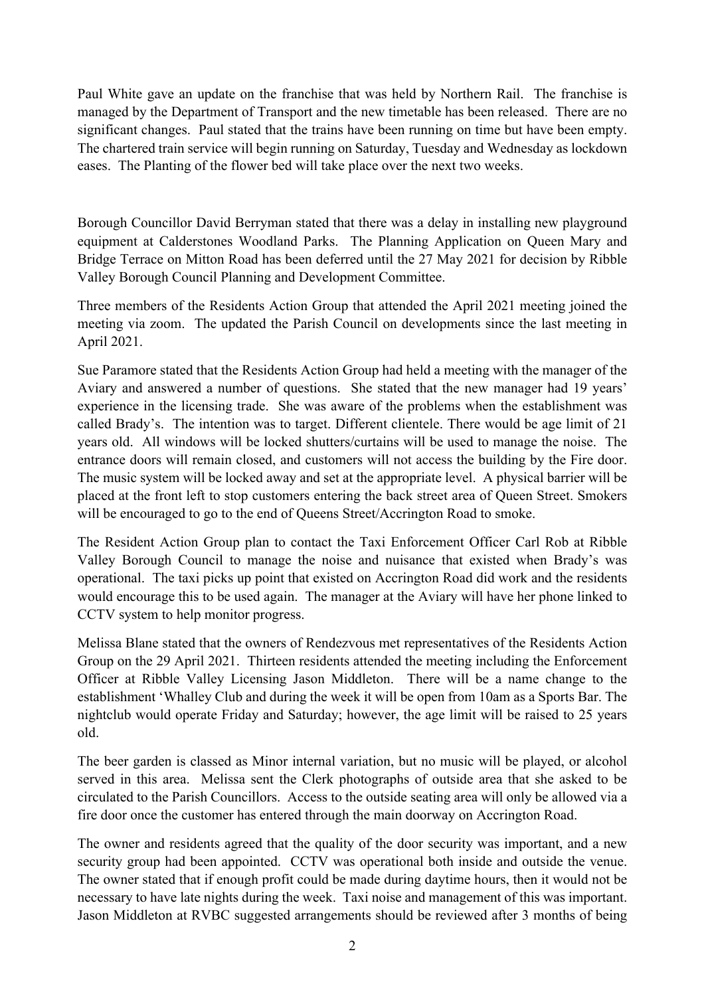Paul White gave an update on the franchise that was held by Northern Rail. The franchise is managed by the Department of Transport and the new timetable has been released. There are no significant changes. Paul stated that the trains have been running on time but have been empty. The chartered train service will begin running on Saturday, Tuesday and Wednesday as lockdown eases. The Planting of the flower bed will take place over the next two weeks.

Borough Councillor David Berryman stated that there was a delay in installing new playground equipment at Calderstones Woodland Parks. The Planning Application on Queen Mary and Bridge Terrace on Mitton Road has been deferred until the 27 May 2021 for decision by Ribble Valley Borough Council Planning and Development Committee.

Three members of the Residents Action Group that attended the April 2021 meeting joined the meeting via zoom. The updated the Parish Council on developments since the last meeting in April 2021.

Sue Paramore stated that the Residents Action Group had held a meeting with the manager of the Aviary and answered a number of questions. She stated that the new manager had 19 years' experience in the licensing trade. She was aware of the problems when the establishment was called Brady's. The intention was to target. Different clientele. There would be age limit of 21 years old. All windows will be locked shutters/curtains will be used to manage the noise. The entrance doors will remain closed, and customers will not access the building by the Fire door. The music system will be locked away and set at the appropriate level. A physical barrier will be placed at the front left to stop customers entering the back street area of Queen Street. Smokers will be encouraged to go to the end of Queens Street/Accrington Road to smoke.

The Resident Action Group plan to contact the Taxi Enforcement Officer Carl Rob at Ribble Valley Borough Council to manage the noise and nuisance that existed when Brady's was operational. The taxi picks up point that existed on Accrington Road did work and the residents would encourage this to be used again. The manager at the Aviary will have her phone linked to CCTV system to help monitor progress.

Melissa Blane stated that the owners of Rendezvous met representatives of the Residents Action Group on the 29 April 2021. Thirteen residents attended the meeting including the Enforcement Officer at Ribble Valley Licensing Jason Middleton. There will be a name change to the establishment 'Whalley Club and during the week it will be open from 10am as a Sports Bar. The nightclub would operate Friday and Saturday; however, the age limit will be raised to 25 years old.

The beer garden is classed as Minor internal variation, but no music will be played, or alcohol served in this area. Melissa sent the Clerk photographs of outside area that she asked to be circulated to the Parish Councillors. Access to the outside seating area will only be allowed via a fire door once the customer has entered through the main doorway on Accrington Road.

The owner and residents agreed that the quality of the door security was important, and a new security group had been appointed. CCTV was operational both inside and outside the venue. The owner stated that if enough profit could be made during daytime hours, then it would not be necessary to have late nights during the week. Taxi noise and management of this was important. Jason Middleton at RVBC suggested arrangements should be reviewed after 3 months of being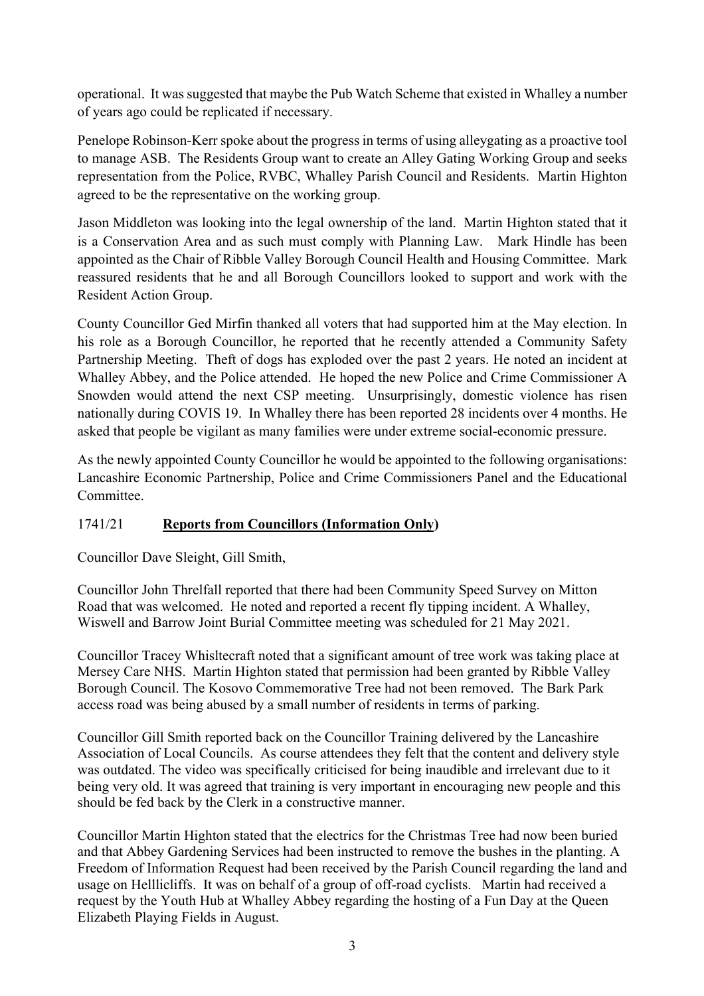operational. It was suggested that maybe the Pub Watch Scheme that existed in Whalley a number of years ago could be replicated if necessary.

Penelope Robinson-Kerr spoke about the progress in terms of using alleygating as a proactive tool to manage ASB. The Residents Group want to create an Alley Gating Working Group and seeks representation from the Police, RVBC, Whalley Parish Council and Residents. Martin Highton agreed to be the representative on the working group.

Jason Middleton was looking into the legal ownership of the land. Martin Highton stated that it is a Conservation Area and as such must comply with Planning Law. Mark Hindle has been appointed as the Chair of Ribble Valley Borough Council Health and Housing Committee. Mark reassured residents that he and all Borough Councillors looked to support and work with the Resident Action Group.

County Councillor Ged Mirfin thanked all voters that had supported him at the May election. In his role as a Borough Councillor, he reported that he recently attended a Community Safety Partnership Meeting. Theft of dogs has exploded over the past 2 years. He noted an incident at Whalley Abbey, and the Police attended. He hoped the new Police and Crime Commissioner A Snowden would attend the next CSP meeting. Unsurprisingly, domestic violence has risen nationally during COVIS 19. In Whalley there has been reported 28 incidents over 4 months. He asked that people be vigilant as many families were under extreme social-economic pressure.

As the newly appointed County Councillor he would be appointed to the following organisations: Lancashire Economic Partnership, Police and Crime Commissioners Panel and the Educational Committee.

# 1741/21 **Reports from Councillors (Information Only)**

Councillor Dave Sleight, Gill Smith,

Councillor John Threlfall reported that there had been Community Speed Survey on Mitton Road that was welcomed. He noted and reported a recent fly tipping incident. A Whalley, Wiswell and Barrow Joint Burial Committee meeting was scheduled for 21 May 2021.

Councillor Tracey Whisltecraft noted that a significant amount of tree work was taking place at Mersey Care NHS. Martin Highton stated that permission had been granted by Ribble Valley Borough Council. The Kosovo Commemorative Tree had not been removed. The Bark Park access road was being abused by a small number of residents in terms of parking.

Councillor Gill Smith reported back on the Councillor Training delivered by the Lancashire Association of Local Councils. As course attendees they felt that the content and delivery style was outdated. The video was specifically criticised for being inaudible and irrelevant due to it being very old. It was agreed that training is very important in encouraging new people and this should be fed back by the Clerk in a constructive manner.

Councillor Martin Highton stated that the electrics for the Christmas Tree had now been buried and that Abbey Gardening Services had been instructed to remove the bushes in the planting. A Freedom of Information Request had been received by the Parish Council regarding the land and usage on Helllicliffs. It was on behalf of a group of off-road cyclists. Martin had received a request by the Youth Hub at Whalley Abbey regarding the hosting of a Fun Day at the Queen Elizabeth Playing Fields in August.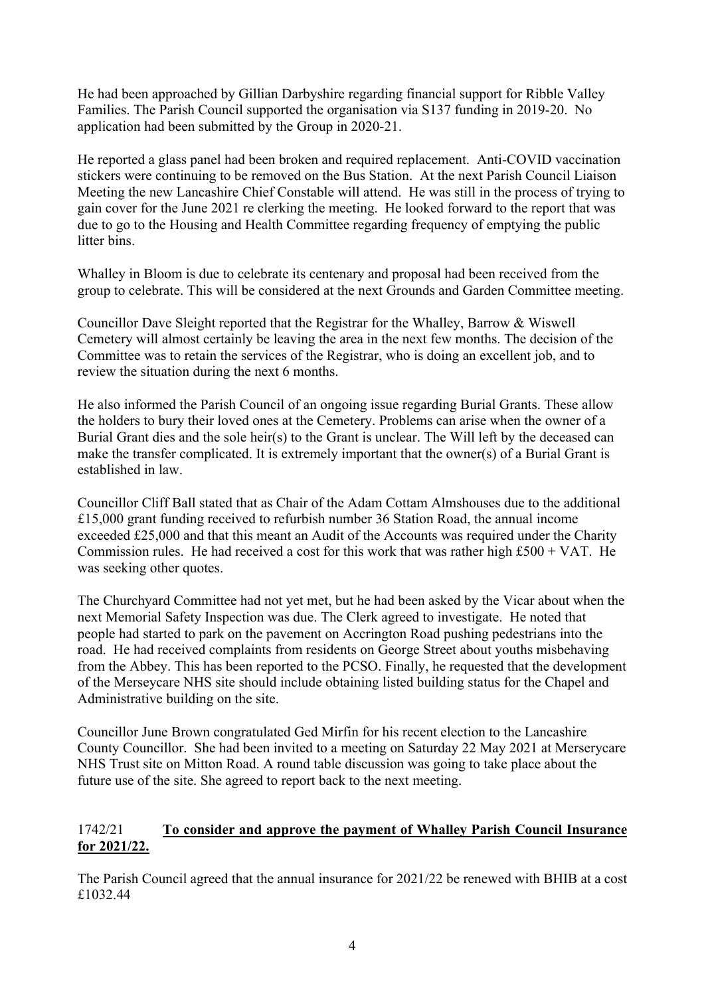He had been approached by Gillian Darbyshire regarding financial support for Ribble Valley Families. The Parish Council supported the organisation via S137 funding in 2019-20. No application had been submitted by the Group in 2020-21.

He reported a glass panel had been broken and required replacement. Anti-COVID vaccination stickers were continuing to be removed on the Bus Station. At the next Parish Council Liaison Meeting the new Lancashire Chief Constable will attend. He was still in the process of trying to gain cover for the June 2021 re clerking the meeting. He looked forward to the report that was due to go to the Housing and Health Committee regarding frequency of emptying the public litter bins.

Whalley in Bloom is due to celebrate its centenary and proposal had been received from the group to celebrate. This will be considered at the next Grounds and Garden Committee meeting.

Councillor Dave Sleight reported that the Registrar for the Whalley, Barrow & Wiswell Cemetery will almost certainly be leaving the area in the next few months. The decision of the Committee was to retain the services of the Registrar, who is doing an excellent job, and to review the situation during the next 6 months.

He also informed the Parish Council of an ongoing issue regarding Burial Grants. These allow the holders to bury their loved ones at the Cemetery. Problems can arise when the owner of a Burial Grant dies and the sole heir(s) to the Grant is unclear. The Will left by the deceased can make the transfer complicated. It is extremely important that the owner(s) of a Burial Grant is established in law.

Councillor Cliff Ball stated that as Chair of the Adam Cottam Almshouses due to the additional £15,000 grant funding received to refurbish number 36 Station Road, the annual income exceeded £25,000 and that this meant an Audit of the Accounts was required under the Charity Commission rules. He had received a cost for this work that was rather high  $£500 + VAT$ . He was seeking other quotes.

The Churchyard Committee had not yet met, but he had been asked by the Vicar about when the next Memorial Safety Inspection was due. The Clerk agreed to investigate. He noted that people had started to park on the pavement on Accrington Road pushing pedestrians into the road. He had received complaints from residents on George Street about youths misbehaving from the Abbey. This has been reported to the PCSO. Finally, he requested that the development of the Merseycare NHS site should include obtaining listed building status for the Chapel and Administrative building on the site.

Councillor June Brown congratulated Ged Mirfin for his recent election to the Lancashire County Councillor. She had been invited to a meeting on Saturday 22 May 2021 at Merserycare NHS Trust site on Mitton Road. A round table discussion was going to take place about the future use of the site. She agreed to report back to the next meeting.

## 1742/21 **To consider and approve the payment of Whalley Parish Council Insurance for 2021/22.**

The Parish Council agreed that the annual insurance for 2021/22 be renewed with BHIB at a cost £1032.44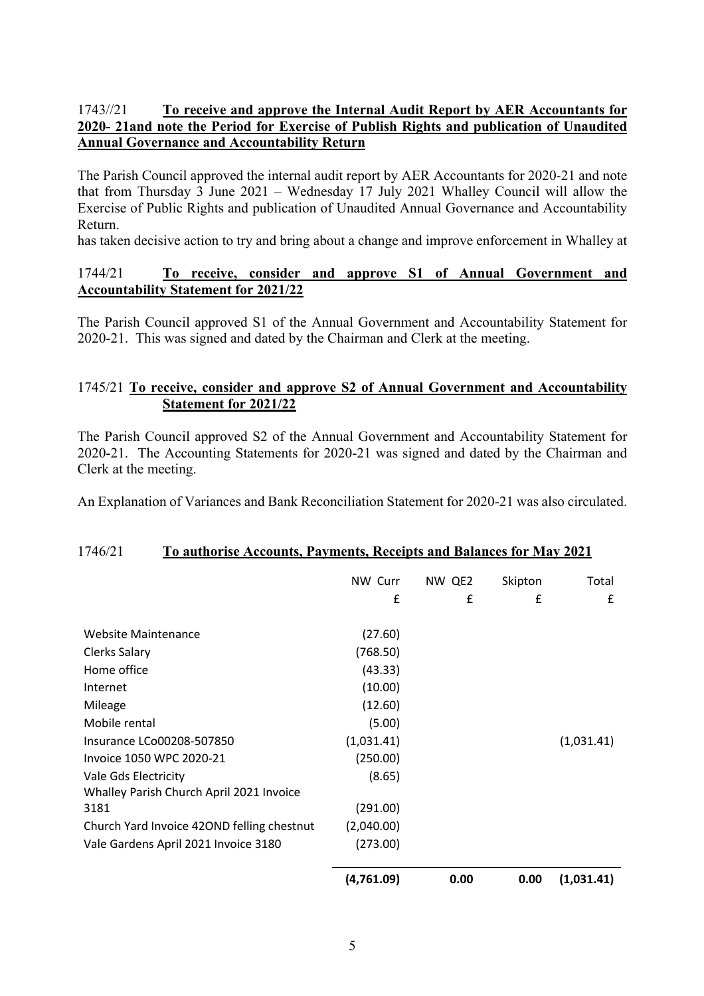## 1743//21 **To receive and approve the Internal Audit Report by AER Accountants for 2020- 21and note the Period for Exercise of Publish Rights and publication of Unaudited Annual Governance and Accountability Return**

The Parish Council approved the internal audit report by AER Accountants for 2020-21 and note that from Thursday 3 June 2021 – Wednesday 17 July 2021 Whalley Council will allow the Exercise of Public Rights and publication of Unaudited Annual Governance and Accountability Return.

has taken decisive action to try and bring about a change and improve enforcement in Whalley at

### 1744/21 **To receive, consider and approve S1 of Annual Government and Accountability Statement for 2021/22**

The Parish Council approved S1 of the Annual Government and Accountability Statement for 2020-21. This was signed and dated by the Chairman and Clerk at the meeting.

## 1745/21 **To receive, consider and approve S2 of Annual Government and Accountability Statement for 2021/22**

The Parish Council approved S2 of the Annual Government and Accountability Statement for 2020-21. The Accounting Statements for 2020-21 was signed and dated by the Chairman and Clerk at the meeting.

An Explanation of Variances and Bank Reconciliation Statement for 2020-21 was also circulated.

#### 1746/21 **To authorise Accounts, Payments, Receipts and Balances for May 2021**

|                                            | NW Curr<br>£ | NW QE2<br>£ | Skipton<br>£ | Total<br>£ |
|--------------------------------------------|--------------|-------------|--------------|------------|
| Website Maintenance                        |              |             |              |            |
|                                            | (27.60)      |             |              |            |
| <b>Clerks Salary</b>                       | (768.50)     |             |              |            |
| Home office                                | (43.33)      |             |              |            |
| Internet                                   | (10.00)      |             |              |            |
| Mileage                                    | (12.60)      |             |              |            |
| Mobile rental                              | (5.00)       |             |              |            |
| Insurance LCo00208-507850                  | (1,031.41)   |             |              | (1,031.41) |
| Invoice 1050 WPC 2020-21                   | (250.00)     |             |              |            |
| Vale Gds Electricity                       | (8.65)       |             |              |            |
| Whalley Parish Church April 2021 Invoice   |              |             |              |            |
| 3181                                       | (291.00)     |             |              |            |
| Church Yard Invoice 420ND felling chestnut | (2,040.00)   |             |              |            |
| Vale Gardens April 2021 Invoice 3180       | (273.00)     |             |              |            |
|                                            | (4,761.09)   | 0.00        | 0.00         | (1,031.41) |